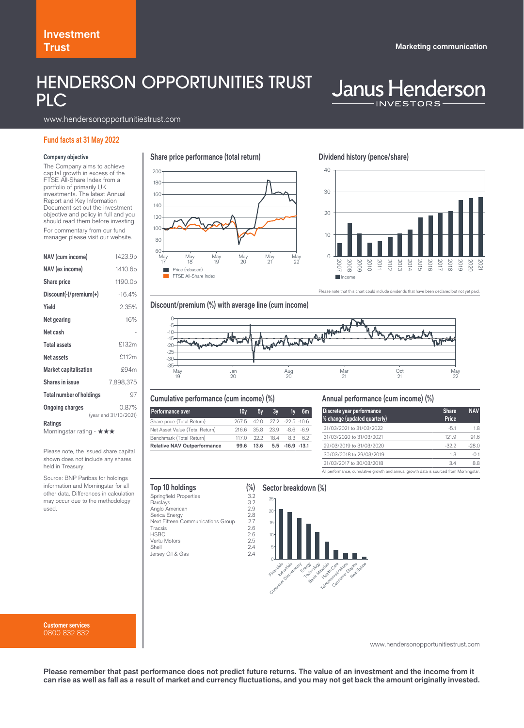## HENDERSON OPPORTUNITIES TRUST PLC

# **Janus Henderson**

www.hendersonopportunitiestrust.com

### **Fund facts at 31 May 2022**

### **Company objective**

The Company aims to achieve capital growth in excess of the FTSE All-Share Index from a portfolio of primarily UK investments. The latest Annual Report and Key Information Document set out the investment objective and policy in full and you should read them before investing. For commentary from our fund manager please visit our website.

| NAV (cum income)                           | 1423.9p                        |  |  |  |
|--------------------------------------------|--------------------------------|--|--|--|
| NAV (ex income)                            | 1410.6p                        |  |  |  |
| <b>Share price</b>                         | 1190.0p                        |  |  |  |
| $Discount(\cdot)/premium(\cdot)$           | $-16.4%$                       |  |  |  |
| Yield                                      | 2.35%                          |  |  |  |
| Net gearing                                | 16%                            |  |  |  |
| Net cash                                   |                                |  |  |  |
| <b>Total assets</b>                        | £132m                          |  |  |  |
| Net assets                                 | £112m                          |  |  |  |
| <b>Market capitalisation</b>               | £94m                           |  |  |  |
| <b>Shares in issue</b>                     | 7,898,375                      |  |  |  |
| <b>Total number of holdings</b>            | 97                             |  |  |  |
| <b>Ongoing charges</b>                     | 0.87%<br>(year end 31/10/2021) |  |  |  |
| <b>Ratings</b><br>Morningstar rating - ★★★ |                                |  |  |  |

Please note, the issued share capital shown does not include any shares held in Treasury.

Source: BNP Paribas for holdings information and Morningstar for all other data. Differences in calculation may occur due to the methodology used.

**Customer services** 0800 832 832

**Share price performance (total return)**



### **Dividend history (pence/share)**



se note that this chart could include dividends that have been declared but not yet paid.





### **Cumulative performance (cum income) (%)**

| <b>Performance over</b>            | 10v                         | 5v                        | 3v                           | 1v | 6m |
|------------------------------------|-----------------------------|---------------------------|------------------------------|----|----|
| Share price (Total Return)         | 267.5 42.0 27.2 -22.5 -10.6 |                           |                              |    |    |
| Net Asset Value (Total Return)     |                             | 216.6 35.8 23.9 -8.6 -6.9 |                              |    |    |
| Benchmark (Total Return)           |                             | 1170 222 184 83 62        |                              |    |    |
| <b>Relative NAV Outperformance</b> | 99.6                        |                           | $13.6$ $5.5$ $-16.9$ $-13.1$ |    |    |

### **Annual performance (cum income) (%)**

| Discrete year performance<br>% change (updated quarterly)                              | <b>Share</b><br>Price | <b>NAV</b> |
|----------------------------------------------------------------------------------------|-----------------------|------------|
| 31/03/2021 to 31/03/2022                                                               | $-51$                 | 1.8        |
| 31/03/2020 to 31/03/2021                                                               | 121.9                 | 91.6       |
| 29/03/2019 to 31/03/2020                                                               | $-322$                | $-28.0$    |
| 30/03/2018 to 29/03/2019                                                               | 13                    | $-01$      |
| 31/03/2017 to 30/03/2018                                                               | 3.4                   | 8.8        |
| All performance, cumulative growth and annual growth data is sourced from Morningstar. |                       |            |

| Top 10 holdings                   |     |
|-----------------------------------|-----|
| <b>Springfield Properties</b>     | 3.2 |
| Barclays                          | 3.2 |
| Anglo American                    | 2.9 |
| Serica Energy                     | 2.8 |
| Next Fifteen Communications Group | 2.7 |
| Tracsis                           | 2.6 |
| <b>HSBC</b>                       | 2.6 |
| Vertu Motors                      | 2.5 |
| Shell                             | 2.4 |
| Jersey Oil & Gas                  | 2.4 |
|                                   |     |

### **Sector breakdown (%)** 25



www.hendersonopportunitiestrust.com

**Please remember that past performance does not predict future returns. The value of an investment and the income from it can rise as well as fall as a result of market and currency fluctuations, and you may not get back the amount originally invested.**